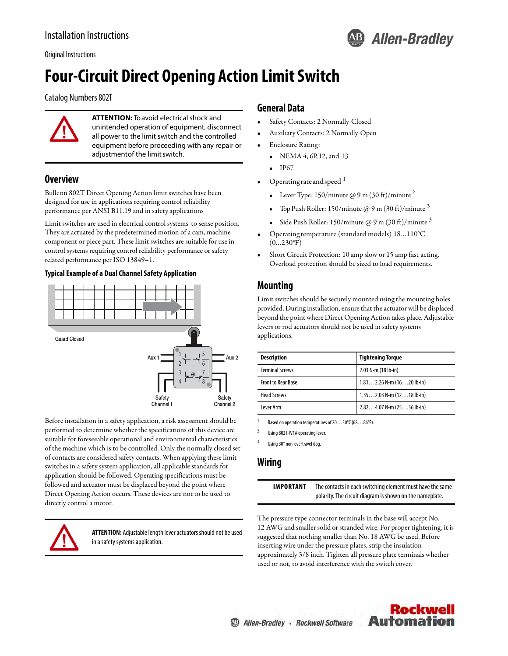

Original Instructions

# **Four-Circuit Direct Opening Action Limit Switch**

Catalog Numbers 802T



**ATTENTION:** To avoid electrical shock and unintended operation of equipment, disconnect all power to the limit switch and the controlled equipment before proceeding with any repair or adjustment of the limit switch.

#### **Overview**

Bulletin 802T Direct Opening Action limit switches have been designed for use in applications requiring control reliability performance per ANSI B11.19 and in safety applications

Limit switches are used in electrical control systems to sense position. They are actuated by the predetermined motion of a cam, machine component or piece part. These limit switches are suitable for use in control systems requiring control reliability performance or safety related performance per ISO 13849–1.

#### **Typical Example of a Dual Channel Safety Application**



Before installation in a safety application, a risk assessment should be performed to determine whether the specifications of this device are suitable for foreseeable operational and environmental characteristics of the machine which is to be controlled. Only the normally closed set of contacts are considered safety contacts. When applying these limit switches in a safety system application, all applicable standards for application should be followed. Operating specifications must be followed and actuator must be displaced beyond the point where Direct Opening Action occurs. These devices are not to be used to directly control a motor.



**ATTENTION:** Adjustable length lever actuators should not be used in a safety systems application.

#### **General Data**

- Safety Contacts: 2 Normally Closed
- Auxiliary Contacts: 2 Normally Open
- Enclosure Rating:
	- NEMA 4, 6P, 12, and 13
	- IP67
- Operating rate and speed <sup>1</sup>
	- Lever Type: 150/minute  $\omega$  9 m (30 ft)/minute <sup>2</sup>
	- Top Push Roller: 150/minute @ 9 m (30 ft)/minute  $3$
	- Side Push Roller: 150/minute  $\omega$  9 m (30 ft)/minute  $3$
- Operating temperature (standard models) 18…110°C  $(0...230^{\circ}F)$
- Short Circuit Protection: 10 amp slow or 15 amp fast acting. Overload protection should be sized to load requirements.

### **Mounting**

Limit switches should be securely mounted using the mounting holes provided. During installation, ensure that the actuator will be displaced beyond the point where Direct Opening Action takes place. Adjustable levers or rod actuators should not be used in safety systems applications.

| <b>Description</b>        | <b>Tightening Torque</b>                    |
|---------------------------|---------------------------------------------|
| <b>Terminal Screws</b>    | $2.03$ N $\cdot$ m (18 lb $\cdot$ in)       |
| <b>Front to Rear Base</b> | $1.812.26$ N $\cdot$ m (1620 lb $\cdot$ in) |
| Head Screws               | $1.352.03$ N $\cdot$ m (1218 lb $\cdot$ in) |
| Lever Arm                 | $2.824.07$ N $\cdot$ m (2536 lb $\cdot$ in) |

Based on operation temperatures of 20...30°C (68...86°F).

<sup>2</sup> Using 802T-W1A operating lever.

Using 30° non-overtravel dog

#### **Wiring**

**IMPORTANT** The contacts in each switching element must have the same polarity. The circuit diagram is shown on the nameplate.

The pressure type connector terminals in the base will accept No. 12 AWG and smaller solid or stranded wire. For proper tightening, it is suggested that nothing smaller than No. 18 AWG be used. Before inserting wire under the pressure plates, strip the insulation approximately 3/8 inch. Tighten all pressure plate terminals whether used or not, to avoid interference with the switch cover.